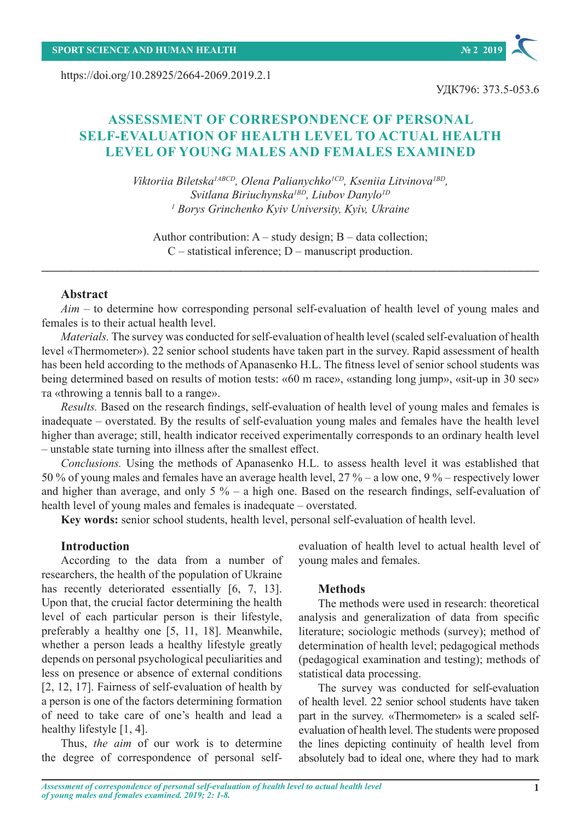https://doi.org/10.28925/2664-2069.2019.2.1

# **ASSESSMENT OF CORRESPONDENCE OF PERSONAL SELF-EVALUATION OF HEALTH LEVEL TO ACTUAL HEALTH LEVEL OF YOUNG MALES AND FEMALES EXAMINED**

*Viktoriia Biletska1АBCD, Olena Palianychko1CD, Kseniia Litvinova1BD, Svitlana Biriuchynska1BD, Liubov Danylo1D 1 Borys Grinchenko Kyiv University, Kyiv, Ukraine*

Author contribution:  $A$  – study design;  $B$  – data collection; C – statistical inference; D – manuscript production.

**\_\_\_\_\_\_\_\_\_\_\_\_\_\_\_\_\_\_\_\_\_\_\_\_\_\_\_\_\_\_\_\_\_\_\_\_\_\_\_\_\_\_\_\_\_\_\_\_\_\_\_\_\_\_\_\_\_\_\_\_\_\_\_\_\_\_\_\_\_\_\_\_\_\_\_\_\_\_\_\_\_\_\_\_\_**

# **Abstract**

*Aim* – to determine how corresponding personal self-evaluation of health level of young males and females is to their actual health level.

*Materials.* The survey was conducted for self-evaluation of health level (scaled self-evaluation of health level «Thermometer»). 22 senior school students have taken part in the survey. Rapid assessment of health has been held according to the methods of Apanasenko H.L. The fitness level of senior school students was being determined based on results of motion tests: «60 m race», «standing long jump», «sit-up in 30 sec» та «throwing a tennis ball to a range».

*Results.* Based on the research findings, self-evaluation of health level of young males and females is inadequate – overstated. By the results of self-evaluation young males and females have the health level higher than average; still, health indicator received experimentally corresponds to an ordinary health level – unstable state turning into illness after the smallest effect.

*Conclusions.* Using the methods of Apanasenko H.L. to assess health level it was established that 50 % of young males and females have an average health level, 27 % – a low one, 9 % – respectively lower and higher than average, and only  $5\%$  – a high one. Based on the research findings, self-evaluation of health level of young males and females is inadequate – overstated.

**Key words:** senior school students, health level, personal self-evaluation of health level.

### **Introduction**

According to the data from a number of researchers, the health of the population of Ukraine has recently deteriorated essentially [6, 7, 13]. Upon that, the crucial factor determining the health level of each particular person is their lifestyle, preferably a healthy one [5, 11, 18]. Meanwhile, whether a person leads a healthy lifestyle greatly depends on personal psychological peculiarities and less on presence or absence of external conditions [2, 12, 17]. Fairness of self-evaluation of health by a person is one of the factors determining formation of need to take care of one's health and lead a healthy lifestyle [1, 4].

Thus, *the aim* of our work is to determine the degree of correspondence of personal selfevaluation of health level to actual health level of young males and females.

#### **Methods**

The methods were used in research: theoretical analysis and generalization of data from specific literature; sociologic methods (survey); method of determination of health level; pedagogical methods (pedagogical examination and testing); methods of statistical data processing.

The survey was conducted for self-evaluation of health level. 22 senior school students have taken part in the survey. «Thermometer» is a scaled selfevaluation of health level. The students were proposed the lines depicting continuity of health level from absolutely bad to ideal one, where they had to mark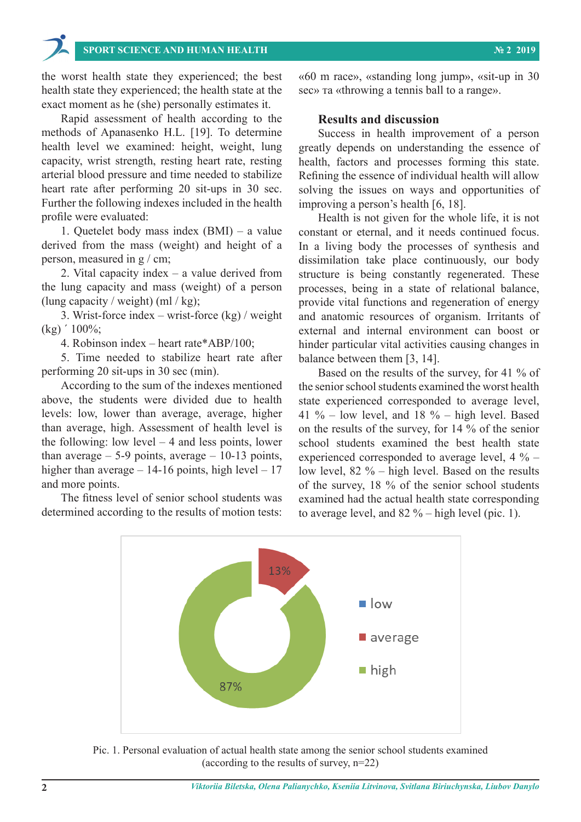the worst health state they experienced; the best health state they experienced; the health state at the exact moment as he (she) personally estimates it.

Rapid assessment of health according to the methods of Apanasenko H.L. [19]. To determine health level we examined: height, weight, lung capacity, wrist strength, resting heart rate, resting arterial blood pressure and time needed to stabilize heart rate after performing 20 sit-ups in 30 sec. Further the following indexes included in the health profile were evaluated:

1. Quetelet body mass index (BMI) – a value derived from the mass (weight) and height of a person, measured in g / cm;

2. Vital capacity index – a value derived from the lung capacity and mass (weight) of a person (lung capacity / weight) (ml / kg);

3. Wrist-force index – wrist-force (kg) / weight (kg) ´ 100%;

4. Robinson index – heart rate\*ABP/100;

5. Time needed to stabilize heart rate after performing 20 sit-ups in 30 sec (min).

According to the sum of the indexes mentioned above, the students were divided due to health levels: low, lower than average, average, higher than average, high. Assessment of health level is the following: low level  $-4$  and less points, lower than average  $-5-9$  points, average  $-10-13$  points, higher than average  $-14-16$  points, high level  $-17$ and more points.

The fitness level of senior school students was determined according to the results of motion tests:

«60 m race», «standing long jump», «sit-up in 30 sec» та «throwing a tennis ball to a range».

# **Results and discussion**

Success in health improvement of a person greatly depends on understanding the essence of health, factors and processes forming this state. Refining the essence of individual health will allow solving the issues on ways and opportunities of improving a person's health [6, 18].

Health is not given for the whole life, it is not constant or eternal, and it needs continued focus. In a living body the processes of synthesis and dissimilation take place continuously, our body structure is being constantly regenerated. These processes, being in a state of relational balance, provide vital functions and regeneration of energy and anatomic resources of organism. Irritants of external and internal environment can boost or hinder particular vital activities causing changes in balance between them [3, 14].

Based on the results of the survey, for 41 % of the senior school students examined the worst health state experienced corresponded to average level, 41 % – low level, and 18 % – high level. Based on the results of the survey, for 14 % of the senior school students examined the best health state experienced corresponded to average level, 4 % – low level, 82 % – high level. Based on the results of the survey, 18 % of the senior school students examined had the actual health state corresponding to average level, and  $82\%$  – high level (pic. 1).



Pic. 1. Personal evaluation of actual health state among the senior school students examined<br>(exacting to the results of survey  $r=22$ ) (according to the results of survey, n=22) (according to the results of survey, n=22)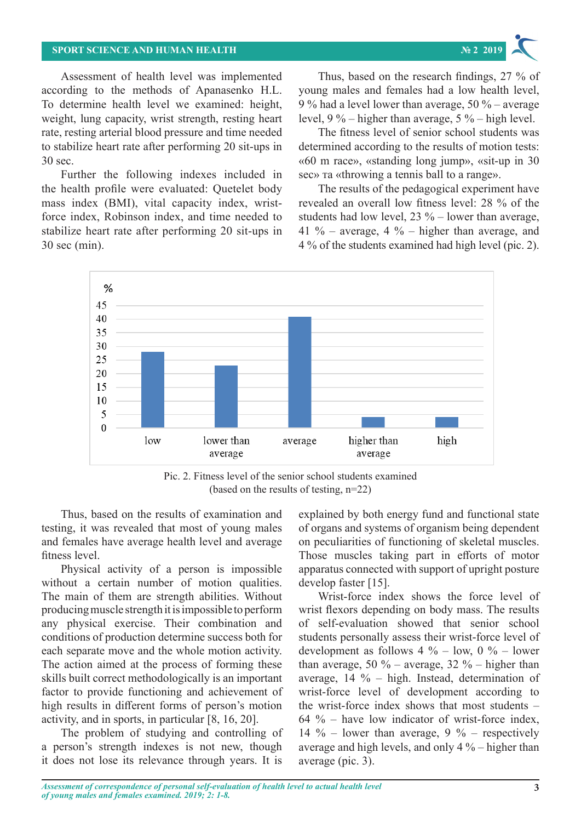#### **SPORT SCIENCE AND HUMAN HEALTH № 2 2019** (according to the results of survey, near  $\mathcal{L}$  ) and the results of survey, near  $\mathcal{L}$



Assessment of health level was implemented according to the methods of Apanasenko H.L. To determine health level we examined: height, weight, lung capacity, wrist strength, resting heart rate, resting arterial blood pressure and time needed the stabilize heart rate after performing 20 sit-ups in 30 determined a 30 sec. sment of health level was implemented Thus, based on the research findings, 27 % of  $\frac{1}{2}$  mass index (BMI), and time needed The fitness level of senior school students was

Further the following indexes included in the health profile were evaluated: Quetelet body mass index (BMI), vital capacity index, wrist- revealed an overall low fitness level: 28 % on force index, Robinson index, and time needed to stabilize heart rate after performing 20 sit-ups in 30 sec (min). average, and  $\frac{1}{2}$  ,  $\frac{1}{2}$  of the students examined had high level (pic. 2).

to the methods of Apanasenko H.L. young males and females had a low health level, 9 % had a level lower than average,  $50\%$  – average pacity, wrist strength, resting heart level,  $9\%$  – higher than average,  $5\%$  – high level.

determined according to the results of motion tests: t race are performing 20 sit-ups in the research according to the results of motion tests.<br>
«60 m race», «standing long jump», «sit-up in 30 sec» та «throwing a tennis ball to a range».  $\leq$   $\leq$   $\leq$   $\leq$   $\leq$   $\leq$   $\leq$   $\leq$   $\leq$   $\leq$   $\leq$   $\leq$   $\leq$   $\leq$   $\leq$   $\leq$   $\leq$   $\leq$   $\leq$   $\leq$   $\leq$   $\leq$   $\leq$   $\leq$   $\leq$   $\leq$   $\leq$   $\leq$   $\leq$   $\leq$   $\leq$   $\leq$   $\leq$   $\leq$   $\leq$   $\leq$   $\leq$ 

ile were evaluated: Quetelet body The results of the pedagogical experiment have revealed an overall low fitness level: 28 % of the students had low level, 23 % – lower than average, rate after performing 20 sit-ups in 41 % – average, 4 % – higher than average, and in).  $4\%$  of the students examined had high level (pic. 2).



Pic. 2. Fitness level of the senior school students examined (based on the results of testing, n=22)

Thus, based on the results of examination and testing, it was revealed that most of young males and females have average health level and average fitness level.

Physical activity of a person is impossible without a certain number of motion qualities. The main of them are strength abilities. Without producing muscle strength it is impossible to perform any physical exercise. Their combination and conditions of production determine success both for each separate move and the whole motion activity. The action aimed at the process of forming these skills built correct methodologically is an important factor to provide functioning and achievement of high results in different forms of person's motion activity, and in sports, in particular [8, 16, 20].

The problem of studying and controlling of a person's strength indexes is not new, though it does not lose its relevance through years. It is

explained by both energy fund and functional state of organs and systems of organism being dependent on peculiarities of functioning of skeletal muscles. Those muscles taking part in efforts of motor apparatus connected with support of upright posture develop faster [15].

Wrist-force index shows the force level of wrist flexors depending on body mass. The results of self-evaluation showed that senior school students personally assess their wrist-force level of development as follows  $4\%$  – low,  $0\%$  – lower than average,  $50\%$  – average,  $32\%$  – higher than average, 14 % – high. Instead, determination of wrist-force level of development according to the wrist-force index shows that most students – 64 % – have low indicator of wrist-force index, 14 % – lower than average, 9 % – respectively average and high levels, and only  $4\%$  – higher than average (pic. 3).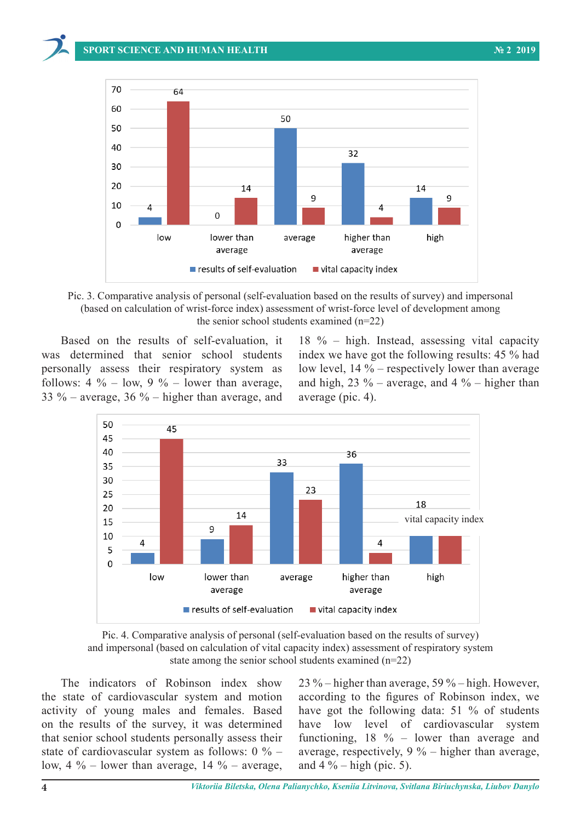$\mathcal{L}(\mathcal{L}) = \mathcal{L}(\mathcal{L})$ . 3). The set of the average (pic. 3).



Pic. 3. Comparative analysis of personal (self-evaluation based on the results of survey) and impersonal Pic. 3. Comparative analysis of personal (self-evaluation based on the results of survey) and (based on calculation of wrist-force index) assessment of wrist-force level of development among the senior school students examined  $(n=22)$ 

Based on the results of self-evaluation, it was determined that senior school students personally assess their respiratory system as follows:  $4\%$  – low,  $9\%$  – lower than average,  $33\%$  – average,  $36\%$  – higher than average, and average (pic.

he results of self-evaluation, it 18 % – high. Instead, assessing vital capacity hined that senior school students index we have got the following results: 45 % had assess their respiratory system as low level,  $14\%$  – respectively lower than average  $\%$  – low, 9 % – lower than average, and high, 23 % – average, and 4 % – higher than average (pic. 4).



Pic. 4. Comparative analysis of personal (self-evaluation based on the results of survey) and impersonal (based on calculation of vital capacity index) assessment of respiratory system state among the senior school students examined  $(n=22)$ 

the state of cardiovascular system and motion according to the figures of Robinson activity of young males and females. Based have got the following data: 51 %  $\epsilon$ on the results of the survey, it was determined have low level of cardiovascula state of cardiovascular system as follows:  $0\%$  – average, respectively,  $9\%$  – higher tha low,  $4\%$  – lower than average,  $14\%$  – average, and  $4\%$  – high (pic. 5). The indicators of Robinson index show that senior school students personally assess their

ators of Robinson index show  $23\%$  – higher than average,  $59\%$  – high. However, r school students personally assess their functioning, 18 % – lower than average and according to the figures of Robinson index, we have got the following data: 51 % of students have low level of cardiovascular system average, respectively, 9 % – higher than average, and  $4\%$  – high (pic. 5).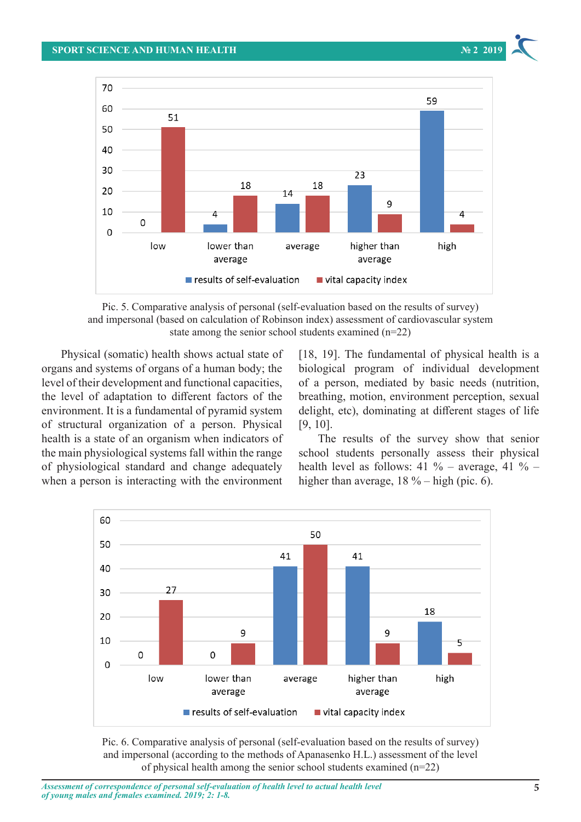

Pic. 5. Comparative analysis of personal (self-evaluation based on the results of survey) and impersonal (based on calculation of Robinson index) assessment of cardiovascular system state among the senior school students examined (n=22)

Physical (somatic) health shows actual state of organs and systems of organs of a human body; the level of their development and functional capacities, the level of adaptation to different factors of the environment. It is a fundamental of pyramid system  $\frac{1}{2}$  is the random fall with the range of structural organization of a person. Physical  $[9, 10]$ . health is a state of an organism when indicators of the main physiological systems fall within the range of physiological standard and change adequately when a person is interacting with the environment  $\frac{1}{2}$  interaction of a person. Thysical  $\left[2, 19\right]$ . health level as follows: 41 % – average, 41 % – higher than average, 18 % – high (pic. 6).

[18, 19]. The fundamental of physical health is a tems of organs of a human body; the biological program of individual development eir development and functional capacities, of a person, mediated by basic needs (nutrition, of adaptation to different factors of the breathing, motion, environment perception, sexual ent. It is a fundamental of pyramid system delight, etc), dominating at different stages of life [9, 10].

a state of an organism when indicators of The results of the survey show that senior physiological systems fall within the range school students personally assess their physical health level as follows:  $41\%$  – average,  $41\%$  – is interacting with the environment higher than average,  $18\%$  – high (pic. 6).



Pic. 6. Comparative analysis of personal (self-evaluation based on the results of survey) and impersonal (according to the methods of Apanasenko H.L.) assessment of the level of physical health among the senior school students examined (n=22)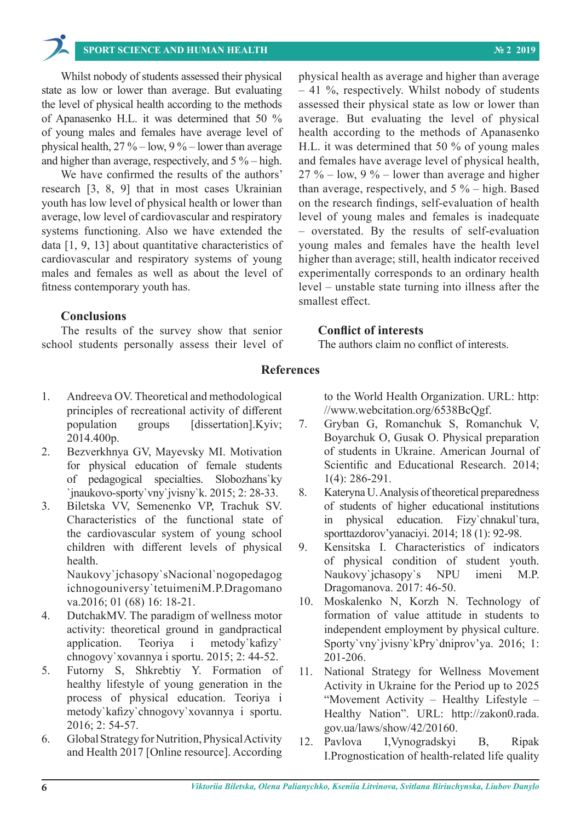# **SPORT SCIENCE AND HUMAN HEALTH № 2 2019**

Whilst nobody of students assessed their physical state as low or lower than average. But evaluating the level of physical health according to the methods of Apanasenko H.L. it was determined that 50 % of young males and females have average level of physical health,  $27\%$  – low,  $9\%$  – lower than average and higher than average, respectively, and  $5\%$  – high.

We have confirmed the results of the authors' research [3, 8, 9] that in most cases Ukrainian youth has low level of physical health or lower than average, low level of cardiovascular and respiratory systems functioning. Also we have extended the data [1, 9, 13] about quantitative characteristics of cardiovascular and respiratory systems of young males and females as well as about the level of fitness contemporary youth has.

# **Conclusions**

The results of the survey show that senior school students personally assess their level of physical health as average and higher than average – 41 %, respectively. Whilst nobody of students assessed their physical state as low or lower than average. But evaluating the level of physical health according to the methods of Apanasenko H.L. it was determined that 50 % of young males and females have average level of physical health,  $27\%$  – low, 9 % – lower than average and higher than average, respectively, and 5 % – high. Based on the research findings, self-evaluation of health level of young males and females is inadequate – overstated. By the results of self-evaluation young males and females have the health level higher than average; still, health indicator received experimentally corresponds to an ordinary health level – unstable state turning into illness after the smallest effect.

# **Conflict of interests**

The authors claim no conflict of interests.

#### **References**

- 1. Andreeva OV. Theoretical and methodological principles of recreational activity of different population groups [dissertation].Kyiv; 2014.400p.
- 2. Bezverkhnya GV, Mayevsky MI. Motivation for physical education of female students of pedagogical specialties. Slobozhans`ky `jnaukovo-sporty`vny`jvisny`k. 2015; 2: 28-33.
- 3. Biletska VV, Semenenko VP, Trachuk SV. Characteristics of the functional state of the cardiovascular system of young school children with different levels of physical health. Naukovy`jchasopy`sNacional`nogopedagog

ichnogouniversy`tetuimeniM.P.Dragomano va.2016; 01 (68) 16: 18-21.

- 4. DutchakMV. The paradigm of wellness motor activity: theoretical ground in gandpractical application. Teoriya i metody`kafizy` chnogovy`xovannya i sportu. 2015; 2: 44-52.
- 5. Futorny S, Shkrebtiy Y. Formation of healthy lifestyle of young generation in the process of physical education. Teoriya i metody`kafizy`chnogovy`xovannya i sportu. 2016; 2: 54-57.
- 6. Global Strategy for Nutrition, Physical Activity and Health 2017 [Online resource]. According

to the World Health Organization. URL: http: //www.webcitation.org/6538BcQgf.

- 7. Gryban G, Romanchuk S, Romanchuk V, Boyarchuk O, Gusak O. Physical preparation of students in Ukraine. Аmerican Journal of Scientific and Educational Research. 2014; 1(4): 286-291.
- 8. Kateryna U. Analysis of theoretical preparedness of students of higher educational institutions in physical education. Fizy`chnakul`tura, sporttazdorov'yanaciyi. 2014; 18 (1): 92-98.
- 9. Kensitska I. Characteristics of indicators of physical condition of student youth. Naukovy`jchasopy`s NPU imeni M.P. Dragomanova. 2017: 46-50.
- 10. Moskalenko N, Korzh N. Technology of formation of value attitude in students to independent employment by physical culture. Sporty`vny`jvisny`kPry`dniprov'ya. 2016; 1: 201-206.
- 11. National Strategy for Wellness Movement Activity in Ukraine for the Period up to 2025 "Movement Activity – Healthy Lifestyle – Healthy Nation". URL: http://zakon0.rada. gov.ua/laws/show/42/20160.
- 12. Pavlova I,Vynogradskyi B, Ripak I.Prognostication of health-related life quality